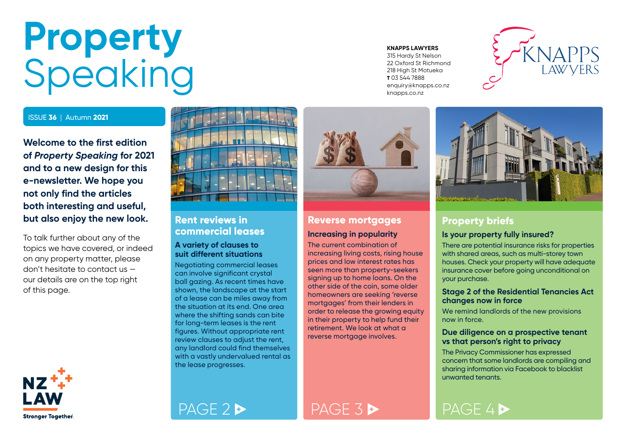## <span id="page-0-0"></span>**Property** Speaking

#### ISSUE **36** | Autumn **2021**

**Welcome to the first edition of** *Property Speaking* **for 2021 and to a new design for this e-newsletter. We hope you not only find the articles both interesting and useful, but also enjoy the new look.**

To talk further about any of the topics we have covered, or indeed on any property matter, please don't hesitate to contact us our details are on the top right of this page.



# **Rent reviews in**

## **commercial leases**

#### **A variety of clauses to suit different situations**

Negotiating commercial leases can involve significant crystal ball gazing. As recent times have shown, the landscape at the start of a lease can be miles away from the situation at its end. One area where the shifting sands can bite for long-term leases is the rent figures. Without appropriate rent review clauses to adjust the rent, any landlord could find themselves with a vastly undervalued rental as the lease progresses.

#### **Reverse mortgages Increasing in popularity**

The current combination of increasing living costs, rising house prices and low interest rates has seen more than property-seekers signing up to home loans. On the other side of the coin, some older homeowners are seeking 'reverse mortgages' from their lenders in order to release the growing equity in their property to help fund their retirement. We look at what a reverse mortgage involves.



315 Hardy St Nelson 22 Oxford St Richmond 218 High St Motueka **T** 03 544 7888 enquiry@knapps.co.nz knapps.co.nz





#### **Property briefs**

#### **Is your property fully insured?**

There are potential insurance risks for properties with shared areas, such as multi-storey town houses. Check your property will have adequate insurance cover before going unconditional on your purchase.

#### **Stage 2 of the Residential Tenancies Act changes now in force**

We remind landlords of the new provisions now in force.

#### **Due diligence on a prospective tenant vs that person's right to privacy**

The Privacy Commissioner has expressed concern that some landlords are compiling and sharing information via Facebook to blacklist unwanted tenants.

[PAGE 2](#page-1-0) [PAGE 3](#page-2-0) [PAGE 4](#page-3-0) PAGE 4 P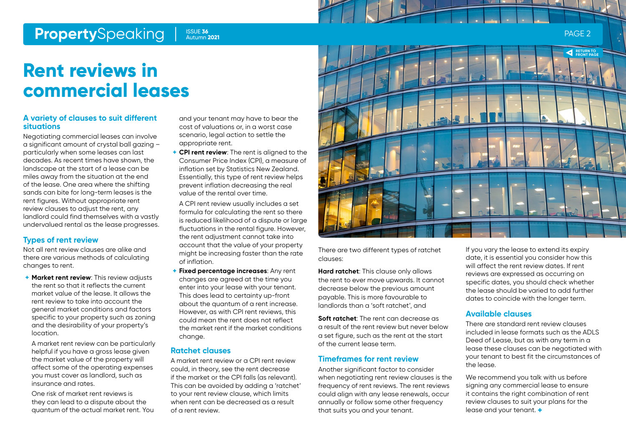## <span id="page-1-0"></span>**Property**Speaking Page 2 ISSUE 36 2 ISSUE 36 2 ISSUE 2 ISSUE 2 ISSUE 2 ISSUE 2 ISSUE 2 ISSUE 2 ISSUE 2 ISSUE 2

Autumn **2021**

## **Rent reviews in commercial leases**

#### **A variety of clauses to suit different situations**

Negotiating commercial leases can involve a significant amount of crystal ball gazing – particularly when some leases can last decades. As recent times have shown, the landscape at the start of a lease can be miles away from the situation at the end of the lease. One area where the shifting sands can bite for long-term leases is the rent figures. Without appropriate rent review clauses to adjust the rent, any landlord could find themselves with a vastly undervalued rental as the lease progresses.

#### **Types of rent review**

Not all rent review clauses are alike and there are various methods of calculating changes to rent.

**+ Market rent review**: This review adjusts the rent so that it reflects the current market value of the lease. It allows the rent review to take into account the general market conditions and factors specific to your property such as zoning and the desirability of your property's location.

A market rent review can be particularly helpful if you have a gross lease given the market value of the property will affect some of the operating expenses you must cover as landlord, such as insurance and rates.

One risk of market rent reviews is they can lead to a dispute about the quantum of the actual market rent. You and your tenant may have to bear the cost of valuations or, in a worst case scenario, legal action to settle the appropriate rent.

**+ CPI rent review**: The rent is aligned to the Consumer Price Index (CPI), a measure of inflation set by Statistics New Zealand. Essentially, this type of rent review helps prevent inflation decreasing the real value of the rental over time.

A CPI rent review usually includes a set formula for calculating the rent so there is reduced likelihood of a dispute or large fluctuations in the rental figure. However, the rent adjustment cannot take into account that the value of your property might be increasing faster than the rate of inflation.

**+ Fixed percentage increases**: Any rent changes are agreed at the time you enter into your lease with your tenant. This does lead to certainty up-front about the quantum of a rent increase. However, as with CPI rent reviews, this could mean the rent does not reflect the market rent if the market conditions change.

#### **Ratchet clauses**

A market rent review or a CPI rent review could, in theory, see the rent decrease if the market or the CPI falls (as relevant). This can be avoided by adding a 'ratchet' to your rent review clause, which limits when rent can be decreased as a result of a rent review.



There are two different types of ratchet clauses:

**Hard ratchet**: This clause only allows the rent to ever move upwards. It cannot decrease below the previous amount payable. This is more favourable to landlords than a 'soft ratchet', and

**Soft ratchet:** The rent can decrease as a result of the rent review but never below a set figure, such as the rent at the start of the current lease term.

#### **Timeframes for rent review**

Another significant factor to consider when negotiating rent review clauses is the frequency of rent reviews. The rent reviews could align with any lease renewals, occur annually or follow some other frequency that suits you and your tenant.

If you vary the lease to extend its expiry date, it is essential you consider how this will affect the rent review dates. If rent reviews are expressed as occurring on specific dates, you should check whether the lease should be varied to add further dates to coincide with the longer term.

#### **Available clauses**

There are standard rent review clauses included in lease formats such as the ADLS Deed of Lease, but as with any term in a lease these clauses can be negotiated with your tenant to best fit the circumstances of the lease.

We recommend you talk with us before signing any commercial lease to ensure it contains the right combination of rent review clauses to suit your plans for the lease and your tenant. **+**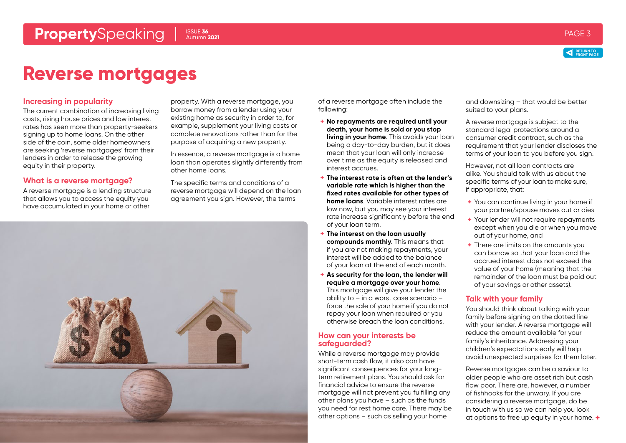



## <span id="page-2-0"></span>**Reverse mortgages**

#### **Increasing in popularity**

The current combination of increasing living costs, rising house prices and low interest rates has seen more than property-seekers signing up to home loans. On the other side of the coin, some older homeowners are seeking 'reverse mortgages' from their lenders in order to release the growing equity in their property.

#### **What is a reverse mortgage?**

A reverse mortgage is a lending structure that allows you to access the equity you have accumulated in your home or other

property. With a reverse mortgage, you borrow money from a lender using your existing home as security in order to, for example, supplement your living costs or complete renovations rather than for the purpose of acquiring a new property.

In essence, a reverse mortgage is a home loan than operates slightly differently from other home loans.

The specific terms and conditions of a reverse mortgage will depend on the loan agreement you sign. However, the terms



of a reverse mortgage often include the following:

- **+ No repayments are required until your death, your home is sold or you stop living in your home**. This avoids your loan being a day-to-day burden, but it does mean that your loan will only increase over time as the equity is released and interest accrues.
- **+ The interest rate is often at the lender's variable rate which is higher than the fixed rates available for other types of home loans**. Variable interest rates are low now, but you may see your interest rate increase significantly before the end of your loan term.
- **+ The interest on the loan usually compounds monthly**. This means that if you are not making repayments, your interest will be added to the balance of your loan at the end of each month.
- **+ As security for the loan, the lender will require a mortgage over your home**. This mortgage will give your lender the ability to – in a worst case scenario – force the sale of your home if you do not repay your loan when required or you otherwise breach the loan conditions.

#### **How can your interests be safeguarded?**

While a reverse mortgage may provide short-term cash flow, it also can have significant consequences for your longterm retirement plans. You should ask for financial advice to ensure the reverse mortgage will not prevent you fulfilling any other plans you have – such as the funds you need for rest home care. There may be other options – such as selling your home

and downsizing – that would be better suited to your plans.

A reverse mortgage is subject to the standard legal protections around a consumer credit contract, such as the requirement that your lender discloses the terms of your loan to you before you sign.

However, not all loan contracts are alike. You should talk with us about the specific terms of your loan to make sure, if appropriate, that:

- **+** You can continue living in your home if your partner/spouse moves out or dies
- **+** Your lender will not require repayments except when you die or when you move out of your home, and
- **+** There are limits on the amounts you can borrow so that your loan and the accrued interest does not exceed the value of your home (meaning that the remainder of the loan must be paid out of your savings or other assets).

#### **Talk with your family**

You should think about talking with your family before signing on the dotted line with your lender. A reverse mortgage will reduce the amount available for your family's inheritance. Addressing your children's expectations early will help avoid unexpected surprises for them later.

Reverse mortgages can be a saviour to older people who are asset rich but cash flow poor. There are, however, a number of fishhooks for the unwary. If you are considering a reverse mortgage, do be in touch with us so we can help you look at options to free up equity in your home. **+**